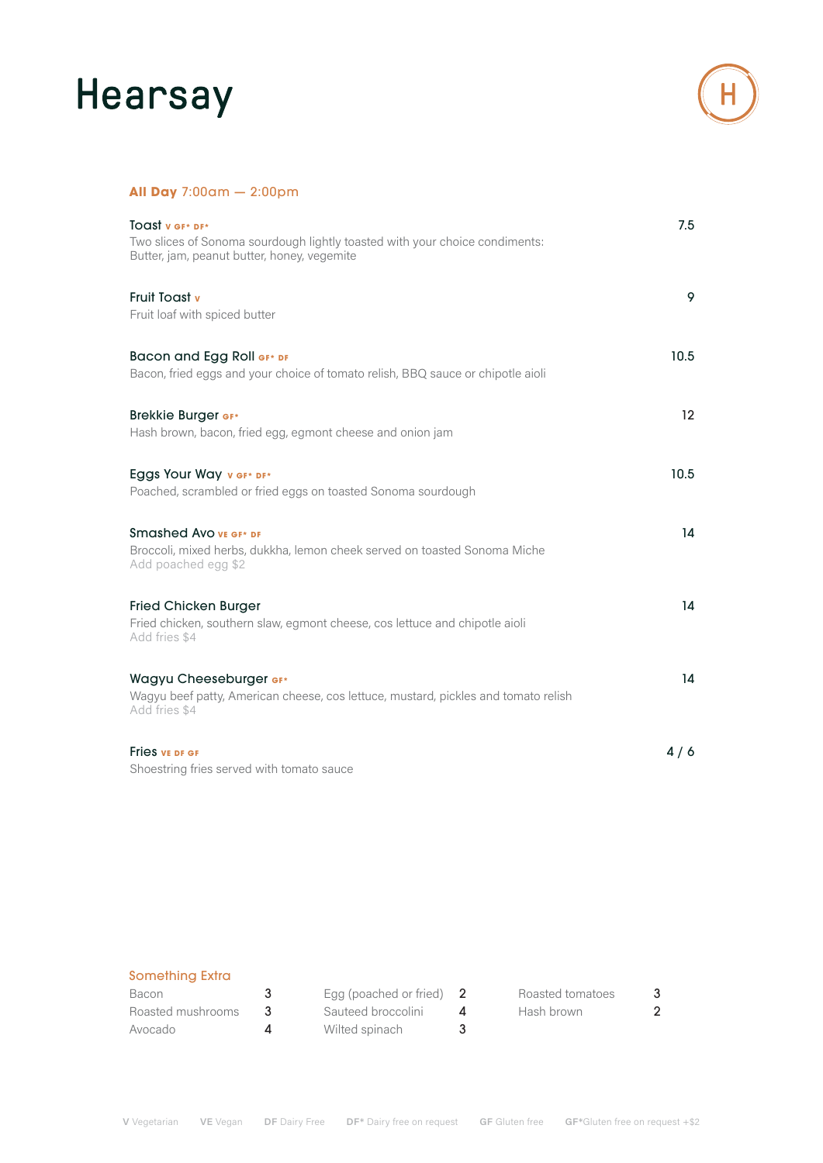## Hearsay



### **All Day** 7:00am — 2:00pm

| TOAST V GF* DF*<br>Two slices of Sonoma sourdough lightly toasted with your choice condiments:<br>Butter, jam, peanut butter, honey, vegemite | 7.5               |
|-----------------------------------------------------------------------------------------------------------------------------------------------|-------------------|
| <b>Fruit Toast v</b><br>Fruit loaf with spiced butter                                                                                         | 9                 |
| Bacon and Egg Roll GF* DF<br>Bacon, fried eggs and your choice of tomato relish, BBQ sauce or chipotle aioli                                  | 10.5              |
| <b>Brekkie Burger GF*</b><br>Hash brown, bacon, fried egg, egmont cheese and onion jam                                                        | $12 \overline{ }$ |
| Eggs Your Way v GF* DF*<br>Poached, scrambled or fried eggs on toasted Sonoma sourdough                                                       | 10.5              |
| Smashed Avo VE GF* DF<br>Broccoli, mixed herbs, dukkha, lemon cheek served on toasted Sonoma Miche<br>Add poached egg \$2                     | 14                |
| <b>Fried Chicken Burger</b><br>Fried chicken, southern slaw, egmont cheese, cos lettuce and chipotle aioli<br>Add fries \$4                   | 14                |
| Wagyu Cheeseburger GF*<br>Wagyu beef patty, American cheese, cos lettuce, mustard, pickles and tomato relish<br>Add fries \$4                 | 14                |
| <b>Fries vE DF GF</b><br>Shoestring fries served with tomato sauce                                                                            | 4/6               |

### Something Extra

| Bacon             |           | Egg (poached or fried) $2$ | Roasted tomatoes |  |
|-------------------|-----------|----------------------------|------------------|--|
| Roasted mushrooms |           | Sauteed broccolini         | Hash brown       |  |
| Avocado           | $\Lambda$ | Wilted spinach             |                  |  |